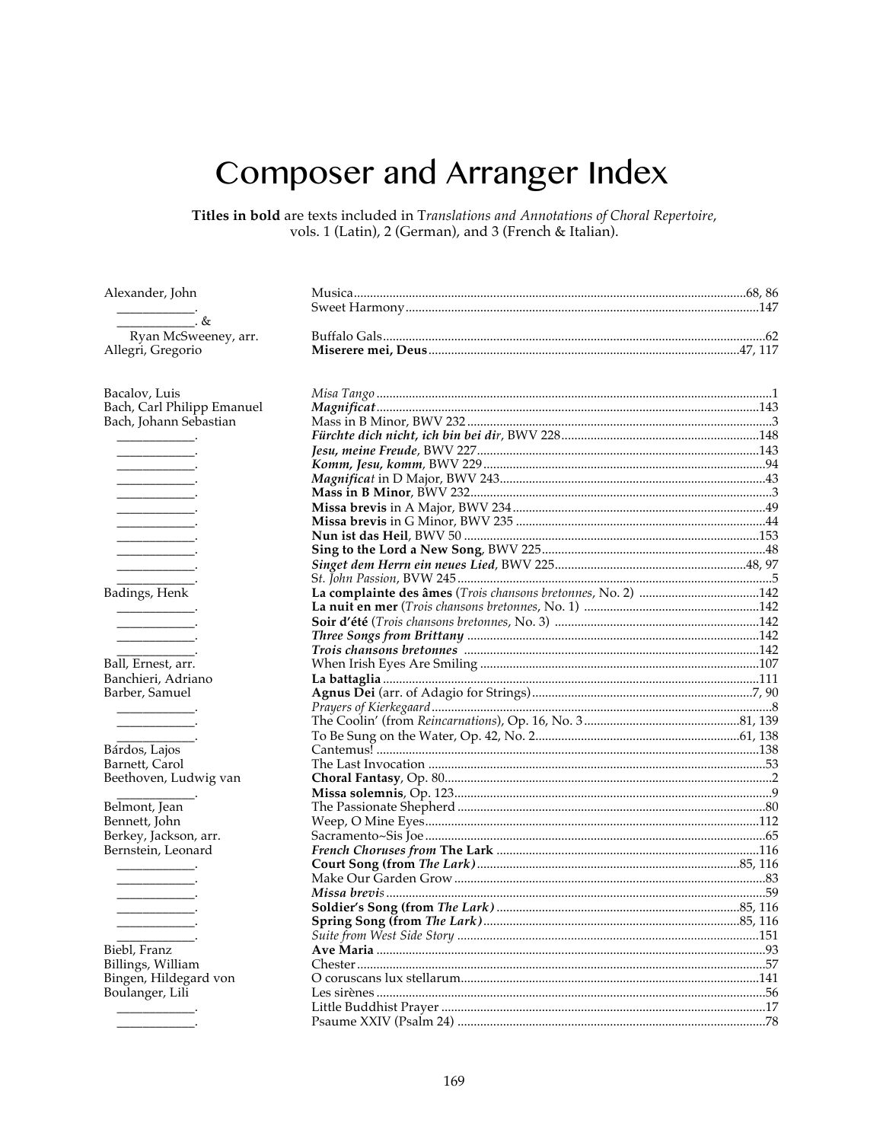## **Composer and Arranger Index**

Titles in bold are texts included in Translations and Annotations of Choral Repertoire, vols. 1 (Latin), 2 (German), and 3 (French & Italian).

| Alexander, John |  |
|-----------------|--|
|                 |  |

 $. &$ Ryan McSweeney, arr. Allegri, Gregorio

Bacalov, Luis Bach, Carl Philipp Emanuel Bach, Johann Sebastian

| Badings, Henk                              |
|--------------------------------------------|
|                                            |
|                                            |
| _____                                      |
|                                            |
|                                            |
| Ball, Ernest, arr.                         |
| Banchieri, Adriano                         |
| Barber, Samuel                             |
|                                            |
|                                            |
|                                            |
|                                            |
|                                            |
| Bárdos, Lajos<br>Barnett, Carol            |
|                                            |
| Beethoven, Ludwig van                      |
|                                            |
| Belmont, Jean                              |
| Bennett, John                              |
|                                            |
| Berkey, Jackson, arr.                      |
| Bernstein, Leonard                         |
|                                            |
|                                            |
|                                            |
|                                            |
|                                            |
| ________                                   |
|                                            |
| Biebl, Franz                               |
|                                            |
| Billings, William<br>Bingen, Hildegard von |
|                                            |
| Boulanger, Lili                            |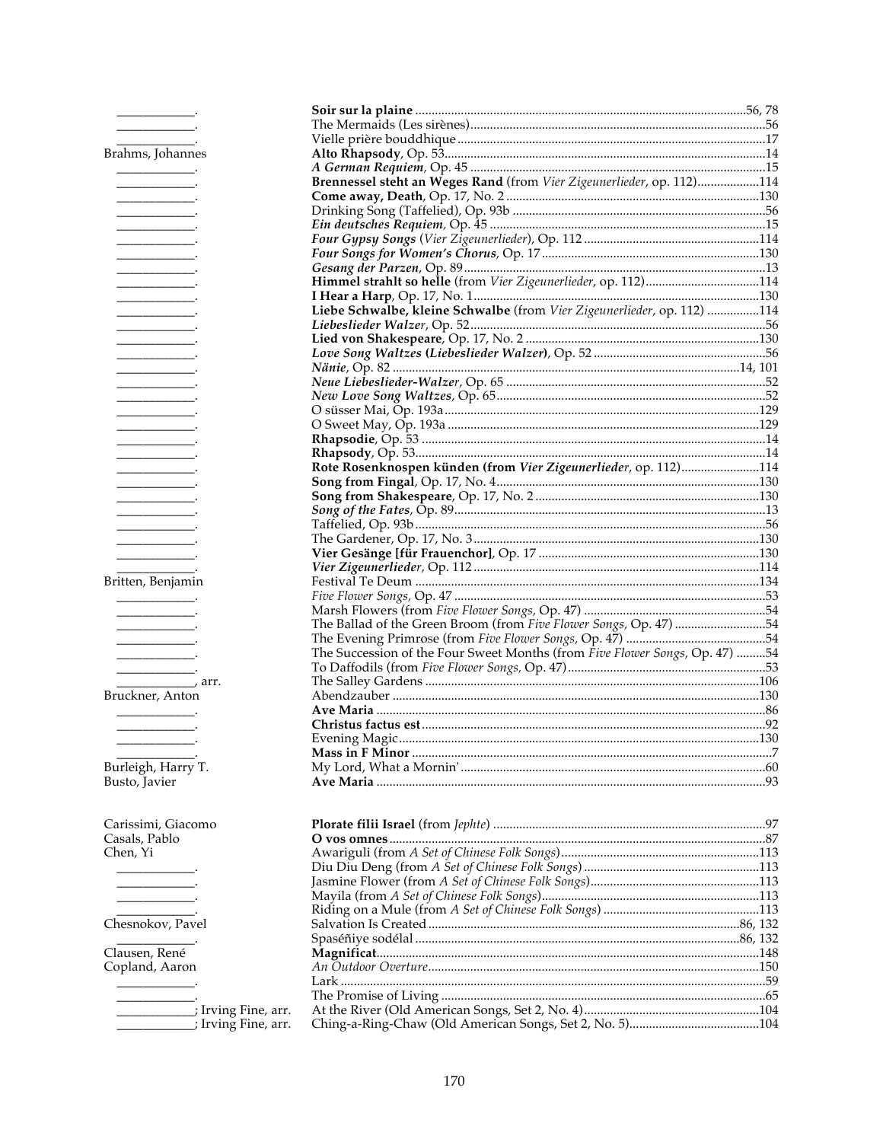| Brahms, Johannes                    |                                                                             |  |
|-------------------------------------|-----------------------------------------------------------------------------|--|
|                                     |                                                                             |  |
|                                     | Brennessel steht an Weges Rand (from Vier Zigeunerlieder, op. 112)114       |  |
|                                     |                                                                             |  |
|                                     |                                                                             |  |
|                                     |                                                                             |  |
| and the company of the company      |                                                                             |  |
|                                     |                                                                             |  |
|                                     |                                                                             |  |
|                                     |                                                                             |  |
|                                     |                                                                             |  |
|                                     |                                                                             |  |
|                                     | Liebe Schwalbe, kleine Schwalbe (from Vier Zigeunerlieder, op. 112) 114     |  |
|                                     |                                                                             |  |
|                                     |                                                                             |  |
|                                     |                                                                             |  |
|                                     |                                                                             |  |
|                                     |                                                                             |  |
| ___________                         |                                                                             |  |
|                                     |                                                                             |  |
|                                     |                                                                             |  |
|                                     |                                                                             |  |
|                                     |                                                                             |  |
|                                     | Rote Rosenknospen künden (from Vier Zigeunerlieder, op. 112)114             |  |
|                                     |                                                                             |  |
|                                     |                                                                             |  |
|                                     |                                                                             |  |
|                                     |                                                                             |  |
| and the company of the company of   |                                                                             |  |
| ___________                         |                                                                             |  |
|                                     |                                                                             |  |
|                                     |                                                                             |  |
| Britten, Benjamin                   |                                                                             |  |
|                                     |                                                                             |  |
|                                     |                                                                             |  |
|                                     | The Ballad of the Green Broom (from Five Flower Songs, Op. 47) 54           |  |
|                                     |                                                                             |  |
|                                     | The Succession of the Four Sweet Months (from Five Flower Songs, Op. 47) 54 |  |
|                                     |                                                                             |  |
| $\frac{1}{\sqrt{2}}$ arr.           |                                                                             |  |
| Bruckner, Anton                     |                                                                             |  |
|                                     |                                                                             |  |
|                                     |                                                                             |  |
|                                     |                                                                             |  |
|                                     |                                                                             |  |
| Burleigh, Harry T.                  |                                                                             |  |
| Busto, Javier                       |                                                                             |  |
|                                     |                                                                             |  |
|                                     |                                                                             |  |
| Carissimi, Giacomo                  |                                                                             |  |
| Casals, Pablo                       |                                                                             |  |
| Chen, Yi                            |                                                                             |  |
|                                     |                                                                             |  |
|                                     |                                                                             |  |
| ____________                        |                                                                             |  |
|                                     |                                                                             |  |
| Chesnokov, Pavel                    |                                                                             |  |
|                                     |                                                                             |  |
|                                     |                                                                             |  |
| Clausen, René                       |                                                                             |  |
| Copland, Aaron                      |                                                                             |  |
|                                     |                                                                             |  |
|                                     |                                                                             |  |
| ___________; Irving Fine, arr.      |                                                                             |  |
| ________________; Irving Fine, arr. |                                                                             |  |
|                                     |                                                                             |  |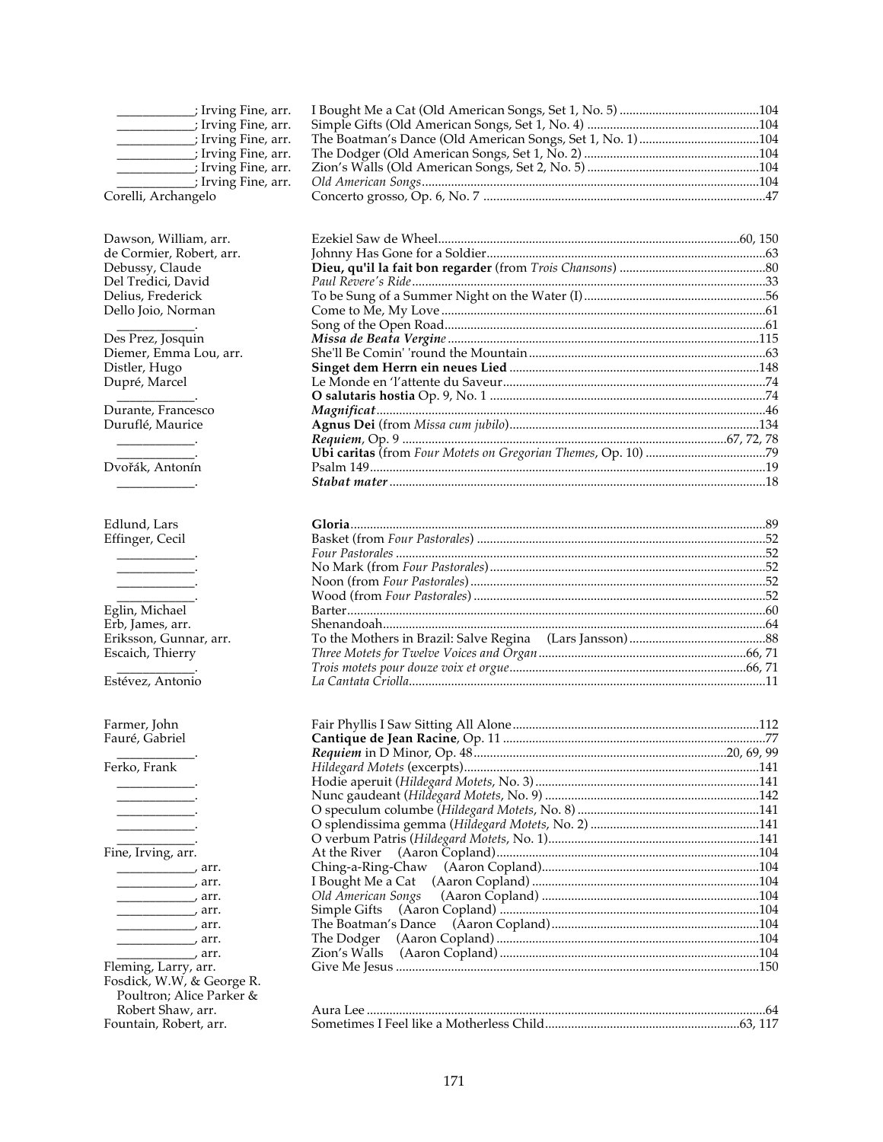| _____________; Irving Fine, arr.                      |                    |  |
|-------------------------------------------------------|--------------------|--|
|                                                       |                    |  |
| _______________; Irving Fine, arr.                    |                    |  |
| ______________; Irving Fine, arr.                     |                    |  |
|                                                       |                    |  |
| __________; Irving Fine, arr.                         |                    |  |
| Corelli, Archangelo                                   |                    |  |
| Dawson, William, arr.                                 |                    |  |
| de Cormier, Robert, arr.                              |                    |  |
| Debussy, Claude                                       |                    |  |
| Del Tredici, David                                    |                    |  |
| Delius, Frederick                                     |                    |  |
| Dello Joio, Norman                                    |                    |  |
|                                                       |                    |  |
| Des Prez, Josquin                                     |                    |  |
| Diemer, Emma Lou, arr.                                |                    |  |
| Distler, Hugo                                         |                    |  |
| Dupré, Marcel                                         |                    |  |
| Durante, Francesco                                    |                    |  |
| Duruflé, Maurice                                      |                    |  |
|                                                       |                    |  |
|                                                       |                    |  |
| Dvořák, Antonín                                       |                    |  |
|                                                       |                    |  |
|                                                       |                    |  |
| Edlund, Lars                                          |                    |  |
| Effinger, Cecil                                       |                    |  |
|                                                       |                    |  |
|                                                       |                    |  |
|                                                       |                    |  |
| Eglin, Michael                                        |                    |  |
| Erb, James, arr.                                      |                    |  |
| Eriksson, Gunnar, arr.                                |                    |  |
| Escaich, Thierry                                      |                    |  |
|                                                       |                    |  |
| Estévez, Antonio                                      |                    |  |
|                                                       |                    |  |
| Farmer, John                                          |                    |  |
| Fauré, Gabriel                                        |                    |  |
| Ferko, Frank                                          |                    |  |
|                                                       |                    |  |
| the company of the company of                         |                    |  |
|                                                       |                    |  |
|                                                       |                    |  |
|                                                       |                    |  |
| Fine, Irving, arr.                                    |                    |  |
|                                                       |                    |  |
| $\overline{\phantom{a}}$ arr.                         |                    |  |
| $\overline{\phantom{a}}$ arr.                         | Old American Songs |  |
| $\overline{\phantom{a}}$ arr.                         | Simple Gifts       |  |
| $\overline{\phantom{a}}$ arr.                         |                    |  |
|                                                       | The Dodger         |  |
|                                                       | Zion's Walls       |  |
| Fleming, Larry, arr.                                  |                    |  |
| Fosdick, W.W, & George R.<br>Poultron; Alice Parker & |                    |  |
| Robert Shaw, arr.                                     |                    |  |
| Fountain, Robert, arr.                                |                    |  |
|                                                       |                    |  |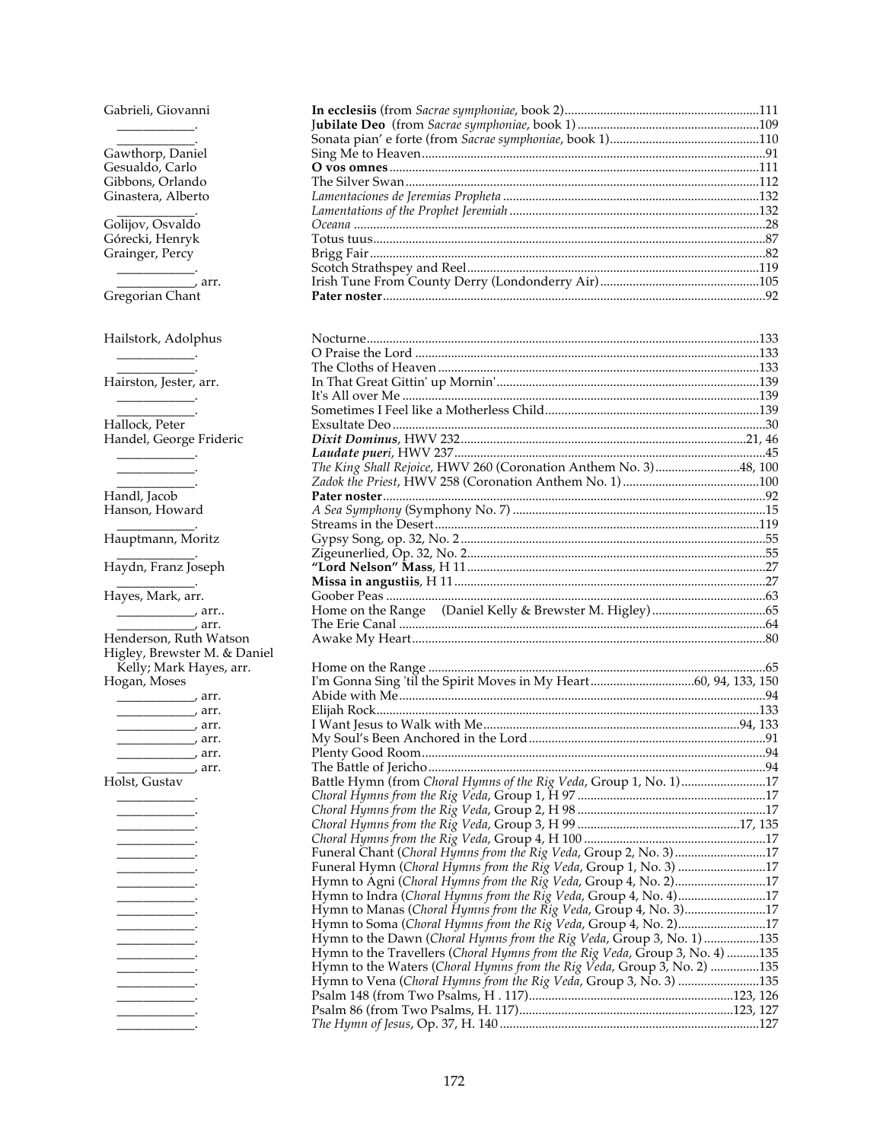Gabrieli, Giovanni  $\begin{tabular}{ll} \multicolumn{3}{c} {\textbf{1}} & \multicolumn{3}{c} {\textbf{1}} & \multicolumn{3}{c} {\textbf{1}} \\ \multicolumn{3}{c} {\textbf{2}} & \multicolumn{3}{c} {\textbf{3}} & \multicolumn{3}{c} {\textbf{4}} \\ \multicolumn{3}{c} {\textbf{4}} & \multicolumn{3}{c} {\textbf{5}} & \multicolumn{3}{c} {\textbf{6}} \\ \multicolumn{3}{c} {\textbf{5}} & \multicolumn{3}{c} {\textbf{6}} & \multicolumn{3}{c} {\textbf{6}} \\ \multicolumn{3}{c} {\textbf{5}} & \multicolumn$ 

Gawthorp, Daniel<br>Gesualdo, Carlo<br>Gibbons, Orlando Ginastera, Alberto

Golijov, Osvaldo Górecki, Henryk Grainger, Percy

 $\overline{\phantom{a}}$  arr. Gregorian Chant

Hailstork, Adolphus 

Hairston, Jester, arr.

Hallock, Peter<br>Handel, George Frideric

 $\overline{\phantom{a}}$ Handl, Jacob Hanson, Howard

 $\begin{tabular}{c} \multicolumn{1}{c} {\textbf{1}} & \multicolumn{1}{c} {\textbf{2}} \\ \multicolumn{1}{c} {\textbf{2}} & \multicolumn{1}{c} {\textbf{3}} \\ \multicolumn{1}{c} {\textbf{4}} & \multicolumn{1}{c} {\textbf{5}} \\ \multicolumn{1}{c} {\textbf{5}} & \multicolumn{1}{c} {\textbf{6}} \\ \multicolumn{1}{c} {\textbf{6}} & \multicolumn{1}{c} {\textbf{6}} \\ \multicolumn{1}{c} {\textbf{6}} & \multicolumn{1}{c} {\textbf{6}} \\ \multicolumn{1}{c} {\textbf{6}} & \multicolumn$ 

Hauptmann, Moritz

Haydn, Franz Joseph

Hayes, Mark, arr.

 $\frac{1}{\sqrt{2}}$  arr.. Henderson, Ruth Watson Higley, Brewster M. & Daniel Kelly; Mark Hayes, arr. Hogan, Moses  $\overline{a}$ 

|                               | aii. |
|-------------------------------|------|
| $\overline{\phantom{a}}$ arr. |      |
|                               |      |
|                               |      |
|                               |      |
| <u>__</u> ________, arr.      |      |
| Holst, Gustav                 |      |
|                               |      |
|                               |      |
|                               |      |
|                               |      |
|                               |      |
|                               |      |
|                               |      |
|                               |      |
|                               |      |
|                               |      |
|                               |      |
|                               |      |
|                               |      |
|                               |      |
|                               |      |
|                               |      |

| Nocturne.                                                        |  |
|------------------------------------------------------------------|--|
|                                                                  |  |
|                                                                  |  |
|                                                                  |  |
|                                                                  |  |
|                                                                  |  |
|                                                                  |  |
|                                                                  |  |
|                                                                  |  |
| The King Shall Rejoice, HWV 260 (Coronation Anthem No. 3)48, 100 |  |
|                                                                  |  |
|                                                                  |  |
|                                                                  |  |
|                                                                  |  |
|                                                                  |  |
|                                                                  |  |
|                                                                  |  |
|                                                                  |  |
| Goober Peas                                                      |  |
|                                                                  |  |
|                                                                  |  |
|                                                                  |  |
|                                                                  |  |

|                                                                             | 65 |
|-----------------------------------------------------------------------------|----|
| I'm Gonna Sing 'til the Spirit Moves in My Heart60, 94, 133, 150            |    |
|                                                                             |    |
|                                                                             |    |
| I Want Jesus to Walk with Me…………………………………………………………………………94, 133             |    |
|                                                                             |    |
|                                                                             |    |
|                                                                             |    |
| Battle Hymn (from Choral Hymns of the Rig Veda, Group 1, No. 1)17           |    |
|                                                                             |    |
|                                                                             |    |
|                                                                             |    |
|                                                                             |    |
| Funeral Chant (Choral Hymns from the Rig Veda, Group 2, No. 3)17            |    |
| Funeral Hymn (Choral Hymns from the Rig Veda, Group 1, No. 3) 17            |    |
| Hymn to Agni (Choral Hymns from the Rig Veda, Group 4, No. 2)17             |    |
| Hymn to Indra (Choral Hymns from the Rig Veda, Group 4, No. 4)17            |    |
| Hymn to Manas (Choral Hymns from the Rig Veda, Group 4, No. 3)17            |    |
| Hymn to Soma (Choral Hymns from the Rig Veda, Group 4, No. 2)17             |    |
| Hymn to the Dawn (Choral Hymns from the Rig Veda, Group 3, No. 1) 135       |    |
| Hymn to the Travellers (Choral Hymns from the Rig Veda, Group 3, No. 4) 135 |    |
| Hymn to the Waters (Choral Hymns from the Rig Veda, Group 3, No. 2) 135     |    |
| Hymn to Vena (Choral Hymns from the Rig Veda, Group 3, No. 3) 135           |    |
|                                                                             |    |
|                                                                             |    |
|                                                                             |    |
|                                                                             |    |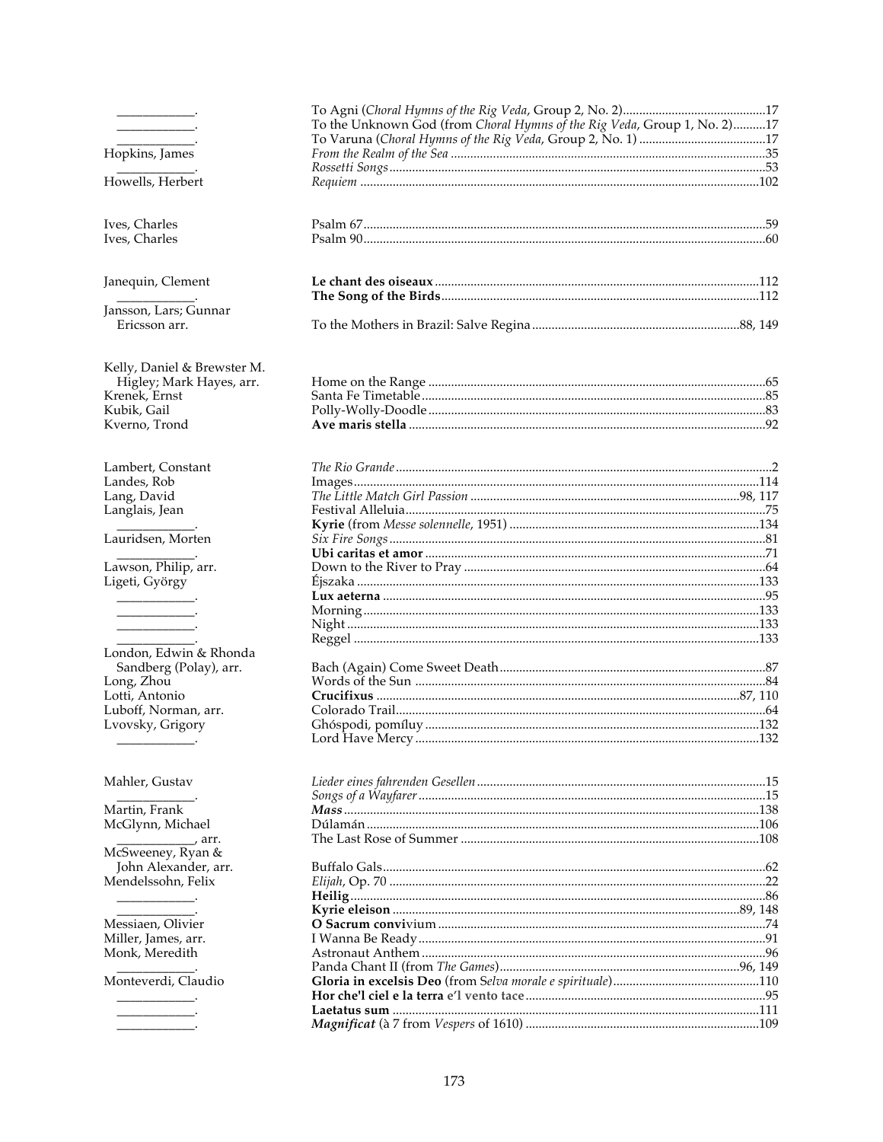|                                       | To the Unknown God (from Choral Hymns of the Rig Veda, Group 1, No. 2)17 |  |
|---------------------------------------|--------------------------------------------------------------------------|--|
|                                       |                                                                          |  |
| Hopkins, James                        |                                                                          |  |
|                                       |                                                                          |  |
| Howells, Herbert                      |                                                                          |  |
| Ives, Charles                         |                                                                          |  |
| Ives, Charles                         |                                                                          |  |
| Janequin, Clement                     |                                                                          |  |
|                                       |                                                                          |  |
| Jansson, Lars; Gunnar                 |                                                                          |  |
| Ericsson arr.                         |                                                                          |  |
| Kelly, Daniel & Brewster M.           |                                                                          |  |
| Higley; Mark Hayes, arr.              |                                                                          |  |
| Krenek, Ernst                         |                                                                          |  |
| Kubik, Gail                           |                                                                          |  |
| Kverno, Trond                         |                                                                          |  |
| Lambert, Constant                     |                                                                          |  |
| Landes, Rob                           |                                                                          |  |
| Lang, David                           |                                                                          |  |
| Langlais, Jean                        |                                                                          |  |
|                                       |                                                                          |  |
| Lauridsen, Morten                     |                                                                          |  |
|                                       |                                                                          |  |
| Lawson, Philip, arr.                  |                                                                          |  |
| Ligeti, György                        |                                                                          |  |
|                                       |                                                                          |  |
|                                       |                                                                          |  |
|                                       |                                                                          |  |
| London, Edwin & Rhonda                |                                                                          |  |
| Sandberg (Polay), arr.                |                                                                          |  |
| Long, Zhou                            |                                                                          |  |
| Lotti, Antonio                        |                                                                          |  |
| Luboff, Norman, arr.                  |                                                                          |  |
| Lvovsky, Grigory                      |                                                                          |  |
|                                       |                                                                          |  |
| Mahler, Gustav                        |                                                                          |  |
|                                       |                                                                          |  |
| Martin, Frank                         |                                                                          |  |
| McGlynn, Michael                      |                                                                          |  |
|                                       |                                                                          |  |
| McSweeney, Ryan &                     |                                                                          |  |
| John Alexander, arr.                  |                                                                          |  |
| Mendelssohn, Felix                    |                                                                          |  |
|                                       |                                                                          |  |
|                                       |                                                                          |  |
| Messiaen, Olivier                     |                                                                          |  |
| Miller, James, arr.<br>Monk, Meredith |                                                                          |  |
|                                       |                                                                          |  |
| Monteverdi, Claudio                   |                                                                          |  |
|                                       |                                                                          |  |
|                                       |                                                                          |  |
|                                       |                                                                          |  |
|                                       |                                                                          |  |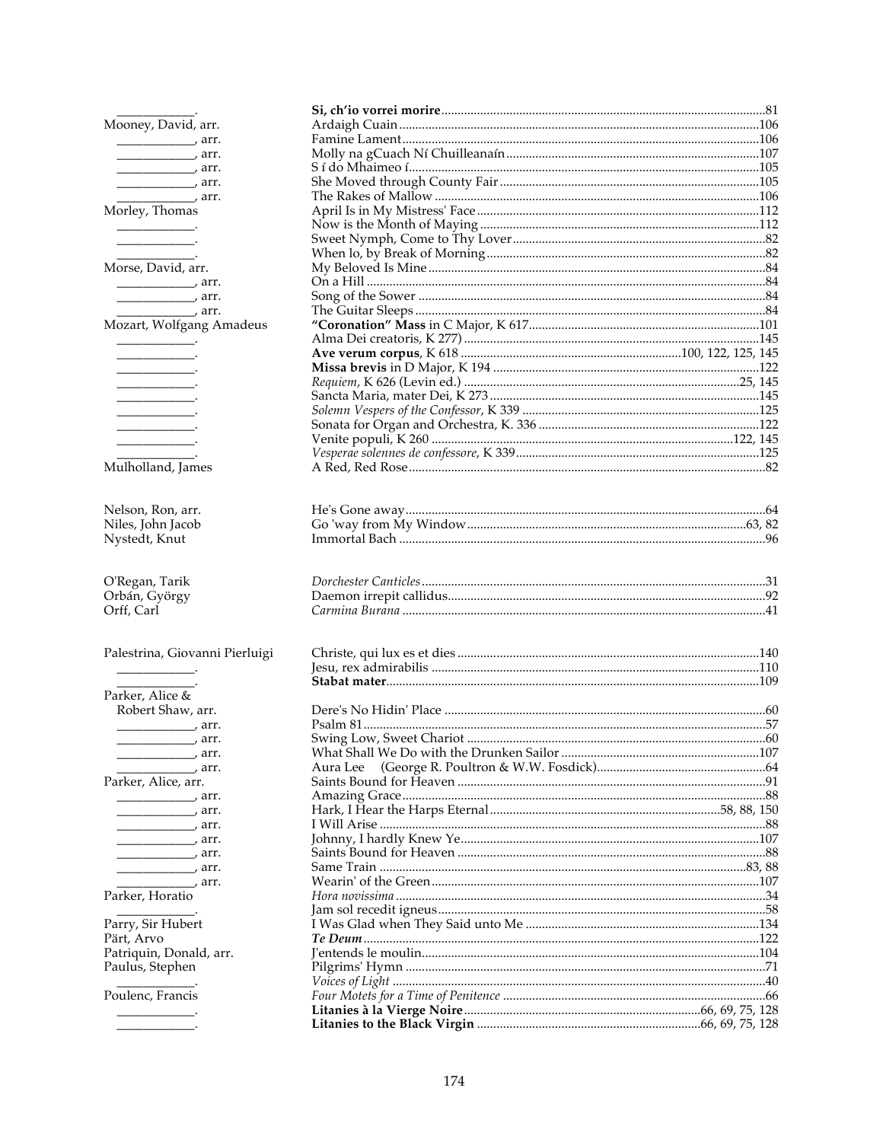| Mooney, David, arr.                                                                                                                                                                                                                                                                                                                                                                                                  |          |  |
|----------------------------------------------------------------------------------------------------------------------------------------------------------------------------------------------------------------------------------------------------------------------------------------------------------------------------------------------------------------------------------------------------------------------|----------|--|
| $\frac{1}{1}$ arr.                                                                                                                                                                                                                                                                                                                                                                                                   |          |  |
| $\overline{\phantom{a}}$ arr.                                                                                                                                                                                                                                                                                                                                                                                        |          |  |
|                                                                                                                                                                                                                                                                                                                                                                                                                      |          |  |
| $\overline{\phantom{iiiiiiiiiiiiiiiiiii}}$ arr.                                                                                                                                                                                                                                                                                                                                                                      |          |  |
| $\frac{1}{\sqrt{2}}$ arr.                                                                                                                                                                                                                                                                                                                                                                                            |          |  |
| Morley, Thomas                                                                                                                                                                                                                                                                                                                                                                                                       |          |  |
|                                                                                                                                                                                                                                                                                                                                                                                                                      |          |  |
|                                                                                                                                                                                                                                                                                                                                                                                                                      |          |  |
|                                                                                                                                                                                                                                                                                                                                                                                                                      |          |  |
| Morse, David, arr.                                                                                                                                                                                                                                                                                                                                                                                                   |          |  |
| $\overline{\phantom{a}}$ arr.                                                                                                                                                                                                                                                                                                                                                                                        |          |  |
| $\overline{\phantom{a}}$ arr.                                                                                                                                                                                                                                                                                                                                                                                        |          |  |
| $\overline{\phantom{a}}$ arr.                                                                                                                                                                                                                                                                                                                                                                                        |          |  |
| Mozart, Wolfgang Amadeus                                                                                                                                                                                                                                                                                                                                                                                             |          |  |
|                                                                                                                                                                                                                                                                                                                                                                                                                      |          |  |
|                                                                                                                                                                                                                                                                                                                                                                                                                      |          |  |
|                                                                                                                                                                                                                                                                                                                                                                                                                      |          |  |
|                                                                                                                                                                                                                                                                                                                                                                                                                      |          |  |
|                                                                                                                                                                                                                                                                                                                                                                                                                      |          |  |
|                                                                                                                                                                                                                                                                                                                                                                                                                      |          |  |
|                                                                                                                                                                                                                                                                                                                                                                                                                      |          |  |
| <u>and the company of the company of the company of the company of the company of the company of the company of the company of the company of the company of the company of the company of the company of the company of the com</u>                                                                                                                                                                                 |          |  |
|                                                                                                                                                                                                                                                                                                                                                                                                                      |          |  |
| Mulholland, James                                                                                                                                                                                                                                                                                                                                                                                                    |          |  |
| Nelson, Ron, arr.                                                                                                                                                                                                                                                                                                                                                                                                    |          |  |
| Niles, John Jacob                                                                                                                                                                                                                                                                                                                                                                                                    |          |  |
| Nystedt, Knut                                                                                                                                                                                                                                                                                                                                                                                                        |          |  |
|                                                                                                                                                                                                                                                                                                                                                                                                                      |          |  |
| O'Regan, Tarik                                                                                                                                                                                                                                                                                                                                                                                                       |          |  |
| Orbán, György                                                                                                                                                                                                                                                                                                                                                                                                        |          |  |
| Orff, Carl                                                                                                                                                                                                                                                                                                                                                                                                           |          |  |
| Palestrina, Giovanni Pierluigi                                                                                                                                                                                                                                                                                                                                                                                       |          |  |
|                                                                                                                                                                                                                                                                                                                                                                                                                      |          |  |
|                                                                                                                                                                                                                                                                                                                                                                                                                      |          |  |
| Parker, Alice &                                                                                                                                                                                                                                                                                                                                                                                                      |          |  |
| Robert Shaw, arr.                                                                                                                                                                                                                                                                                                                                                                                                    |          |  |
| $\frac{1}{1}$ arr.                                                                                                                                                                                                                                                                                                                                                                                                   |          |  |
| $\frac{1}{\sqrt{1-\frac{1}{2}}\sqrt{1-\frac{1}{2}}\sqrt{1-\frac{1}{2}}\sqrt{1-\frac{1}{2}}\sqrt{1-\frac{1}{2}}\sqrt{1-\frac{1}{2}}\sqrt{1-\frac{1}{2}}\sqrt{1-\frac{1}{2}}\sqrt{1-\frac{1}{2}}\sqrt{1-\frac{1}{2}}\sqrt{1-\frac{1}{2}}\sqrt{1-\frac{1}{2}}\sqrt{1-\frac{1}{2}}\sqrt{1-\frac{1}{2}}\sqrt{1-\frac{1}{2}}\sqrt{1-\frac{1}{2}}\sqrt{1-\frac{1}{2}}\sqrt{1-\frac{1}{2}}\sqrt{1-\frac{1}{2}}\sqrt{1-\frac$ |          |  |
|                                                                                                                                                                                                                                                                                                                                                                                                                      |          |  |
| $\frac{1}{\sqrt{2}}$ arr.                                                                                                                                                                                                                                                                                                                                                                                            | Aura Lee |  |
| Parker, Alice, arr.                                                                                                                                                                                                                                                                                                                                                                                                  |          |  |
| $\overline{\phantom{a}}$ arr.                                                                                                                                                                                                                                                                                                                                                                                        |          |  |
| $\overline{\phantom{a}}$ arr.                                                                                                                                                                                                                                                                                                                                                                                        |          |  |
| $\overline{\phantom{a}}$ arr.                                                                                                                                                                                                                                                                                                                                                                                        |          |  |
|                                                                                                                                                                                                                                                                                                                                                                                                                      |          |  |
| $\overline{\phantom{a}}$ arr.                                                                                                                                                                                                                                                                                                                                                                                        |          |  |
| $\overline{\phantom{a}}$ arr.                                                                                                                                                                                                                                                                                                                                                                                        |          |  |
| arr.,                                                                                                                                                                                                                                                                                                                                                                                                                |          |  |
| Parker, Horatio                                                                                                                                                                                                                                                                                                                                                                                                      |          |  |
|                                                                                                                                                                                                                                                                                                                                                                                                                      |          |  |
| Parry, Sir Hubert                                                                                                                                                                                                                                                                                                                                                                                                    |          |  |
| Pärt, Arvo                                                                                                                                                                                                                                                                                                                                                                                                           |          |  |
| Patriquin, Donald, arr.                                                                                                                                                                                                                                                                                                                                                                                              |          |  |
| Paulus, Stephen                                                                                                                                                                                                                                                                                                                                                                                                      |          |  |
|                                                                                                                                                                                                                                                                                                                                                                                                                      |          |  |
| Poulenc, Francis                                                                                                                                                                                                                                                                                                                                                                                                     |          |  |
| <u> 1989 - Jan Jan Ja</u>                                                                                                                                                                                                                                                                                                                                                                                            |          |  |
|                                                                                                                                                                                                                                                                                                                                                                                                                      |          |  |
|                                                                                                                                                                                                                                                                                                                                                                                                                      |          |  |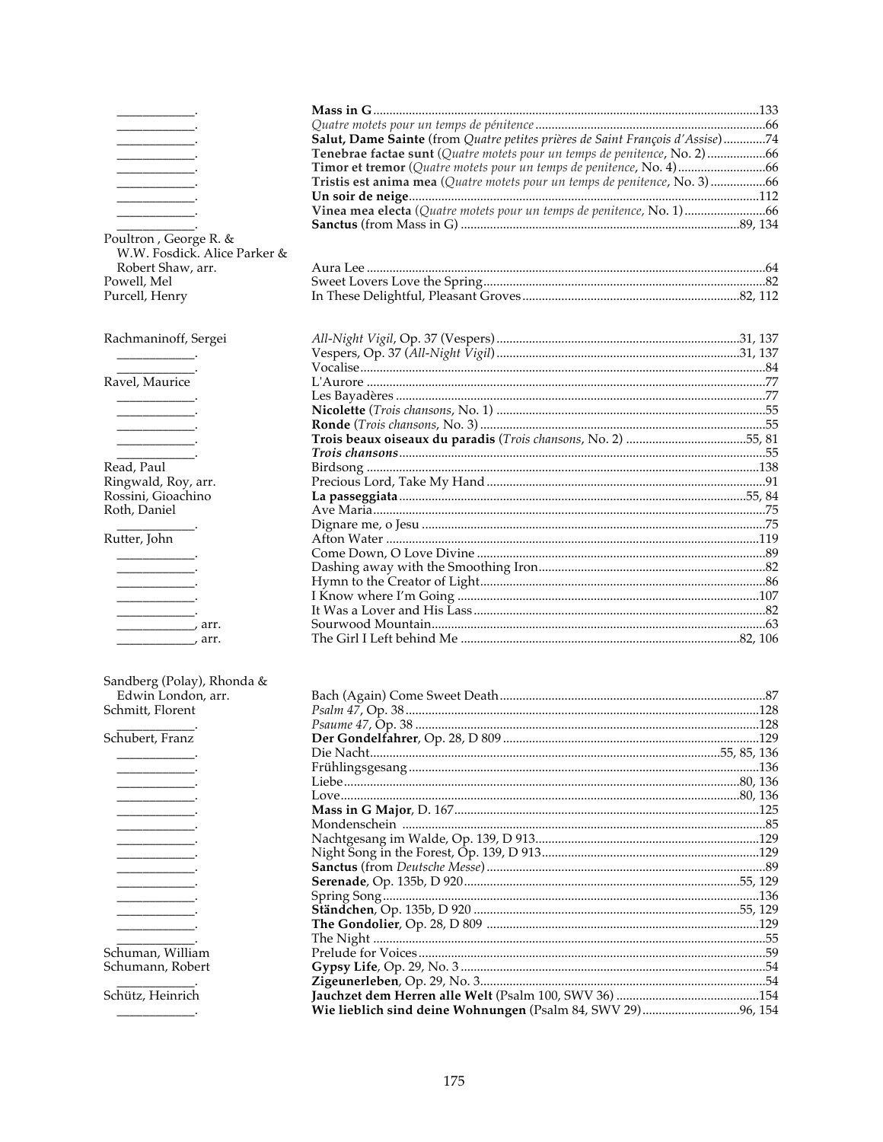|                               | Salut, Dame Sainte (from Quatre petites prières de Saint François d'Assise)74 |  |
|-------------------------------|-------------------------------------------------------------------------------|--|
|                               | Tenebrae factae sunt (Quatre motets pour un temps de penitence, No. 2) 66     |  |
|                               |                                                                               |  |
|                               | Tristis est anima mea (Quatre motets pour un temps de penitence, No. 3) 66    |  |
|                               |                                                                               |  |
|                               | Vinea mea electa (Quatre motets pour un temps de penitence, No. 1)66          |  |
|                               |                                                                               |  |
| Poultron, George R. &         |                                                                               |  |
| W.W. Fosdick. Alice Parker &  |                                                                               |  |
| Robert Shaw, arr.             |                                                                               |  |
| Powell, Mel                   |                                                                               |  |
| Purcell, Henry                |                                                                               |  |
|                               |                                                                               |  |
|                               |                                                                               |  |
| Rachmaninoff, Sergei          |                                                                               |  |
|                               |                                                                               |  |
|                               |                                                                               |  |
| Ravel, Maurice                |                                                                               |  |
|                               |                                                                               |  |
| the company of the company of |                                                                               |  |
|                               |                                                                               |  |
|                               |                                                                               |  |
|                               |                                                                               |  |
| Read, Paul                    |                                                                               |  |
| Ringwald, Roy, arr.           |                                                                               |  |
| Rossini, Gioachino            |                                                                               |  |
| Roth, Daniel                  |                                                                               |  |
|                               |                                                                               |  |
| Rutter, John                  |                                                                               |  |
|                               |                                                                               |  |
|                               |                                                                               |  |
|                               |                                                                               |  |
|                               |                                                                               |  |
|                               |                                                                               |  |
| $\alpha$ , arr.               |                                                                               |  |
|                               |                                                                               |  |
|                               |                                                                               |  |
| Sandberg (Polay), Rhonda &    |                                                                               |  |
| Edwin London, arr.            |                                                                               |  |
| Schmitt, Florent              |                                                                               |  |
|                               |                                                                               |  |

Schubert, Franz

L,

 $\overline{\phantom{a}}$  $\sim$ 

> ÷.  $\overline{\phantom{a}}$  $\overline{\phantom{a}}$

> > $\mathcal{L}$

 $\overline{\phantom{a}}$ 

Schuman, William<br>Schumann, Robert

Schütz, Heinrich

| Wie lieblich sind deine Wohnungen (Psalm 84, SWV 29)96, 154 |  |
|-------------------------------------------------------------|--|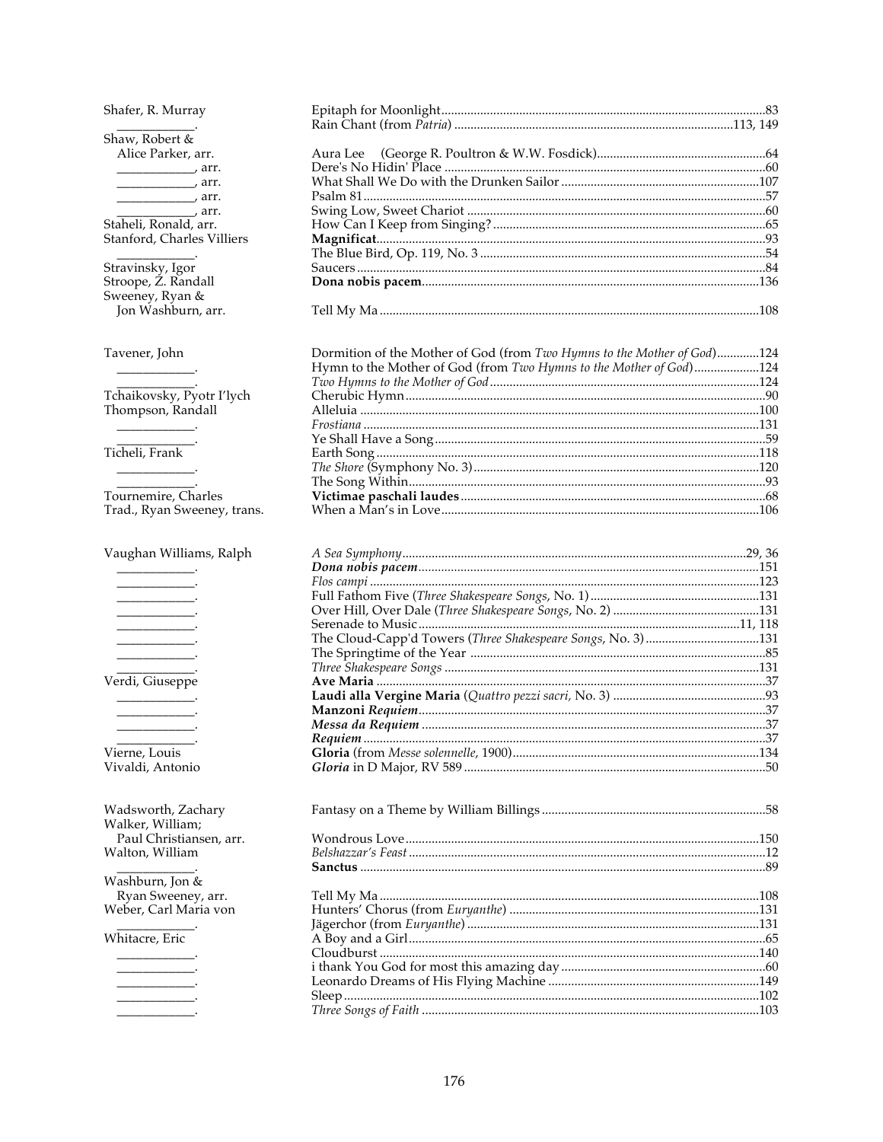Shafer, R. Murray Shaw, Robert & Alice Parker, arr. arr.<br>
The Fance Carrer arr.<br>
The Common Carr.  $\frac{1}{\sqrt{2}}$  arr. Staheli, Ronald, arr. Stanford, Charles Villiers Stravinsky, Igor<br>Stroope, Z. Randall Sweeney, Ryan & Jon Washburn, arr. Tavener, John  $\begin{array}{c} \begin{array}{c} \begin{array}{c} \begin{array}{c} \end{array} \\ \end{array} \end{array} \end{array}$ Tchaikovsky, Pyotr I'lych<br>Thompson, Randall  $\overbrace{\hspace{25mm}}^{ \hspace{25mm} \bullet \hspace{25mm} \bullet \hspace{25mm} \bullet \hspace{25mm} \bullet \hspace{25mm} \bullet \hspace{25mm} \bullet \hspace{25mm} \bullet \hspace{25mm} \bullet \hspace{25mm} \bullet \hspace{25mm} \bullet \hspace{25mm} \bullet \hspace{25mm} \bullet \hspace{25mm} \bullet \hspace{25mm} \bullet \hspace{25mm} \bullet \hspace{25mm} \bullet \hspace{25mm} \bullet \hspace{25mm} \bullet \hspace{25mm} \bullet \hspace{25mm} \bullet \hspace{25mm}$ Ticheli, Frank Tournemire, Charles Trad., Ryan Sweeney, trans. Vaughan Williams, Ralph Verdi, Giuseppe  $\sim$   $\sim$ Vierne, Louis Vivaldi, Antonio Wadsworth, Zachary Walker, William; Paul Christiansen, arr. Walton, William Washburn, Jon & Ryan Sweeney, arr. Weber, Carl Maria von Whitacre, Eric

| Dormition of the Mother of God (from Two Hymns to the Mother of God)124 |  |
|-------------------------------------------------------------------------|--|
| Hymn to the Mother of God (from Two Hymns to the Mother of God)124      |  |
|                                                                         |  |
|                                                                         |  |
|                                                                         |  |
|                                                                         |  |
|                                                                         |  |
|                                                                         |  |
|                                                                         |  |
|                                                                         |  |
|                                                                         |  |
|                                                                         |  |
|                                                                         |  |

| Serenade to Music.                                          |  |
|-------------------------------------------------------------|--|
| The Cloud-Capp'd Towers (Three Shakespeare Songs, No. 3)131 |  |
|                                                             |  |
|                                                             |  |
|                                                             |  |
|                                                             |  |
|                                                             |  |
|                                                             |  |
|                                                             |  |
|                                                             |  |
|                                                             |  |